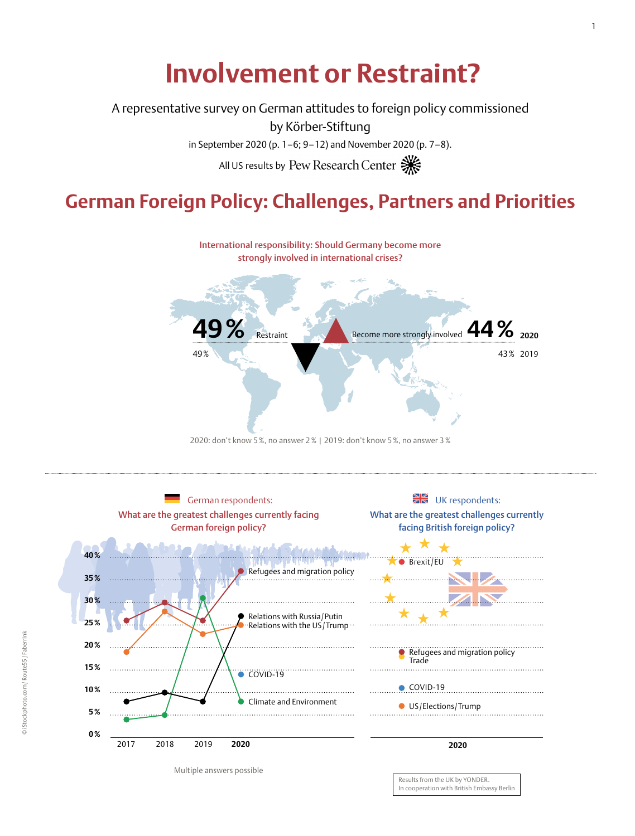# **Involvement or Restraint?**

A representative survey on German attitudes to foreign policy commissioned

by Körber-Stiftung

in September 2020 (p. 1–6; 9–12) and November 2020 (p. 7–8).

All US results by Pew Research Center

# **German Foreign Policy: Challenges, Partners and Priorities**



2020: don't know 5%, no answer 2% | 2019: don't know 5%, no answer 3%



Multiple answers possible

Results from the UK by YONDER. In cooperation with British Embassy Berlin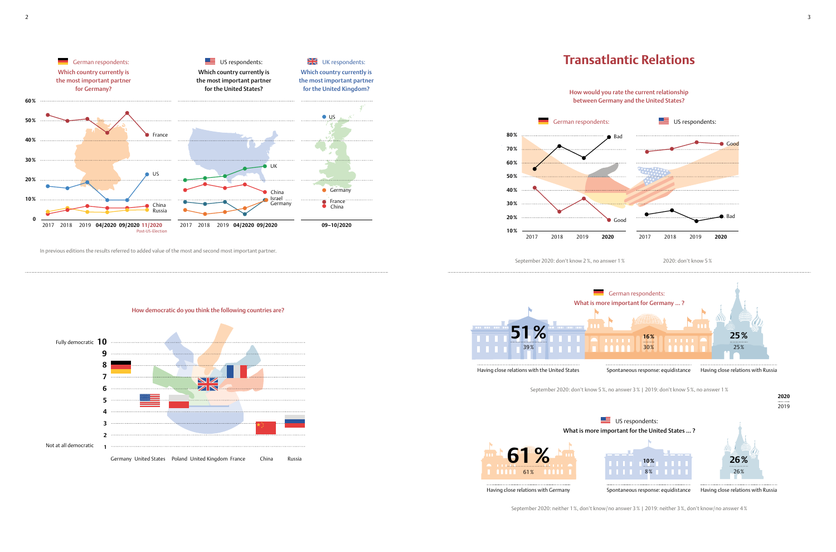## How democratic do you think the following countries are?



How would you rate the current relationship between Germany and the United States?

In previous editions the results referred to added value of the most and second most important partner.



Having close relations with Germany

Having close relations with Russia





Spontaneous response: equidistance





![](_page_1_Figure_8.jpeg)

![](_page_1_Figure_4.jpeg)

September 2020: neither 1%, don't know/no answer 3% | 2019: neither 3%, don't know/no answer 4%

September 2020: don't know 2%, no answer 1% 2020: don't know 5%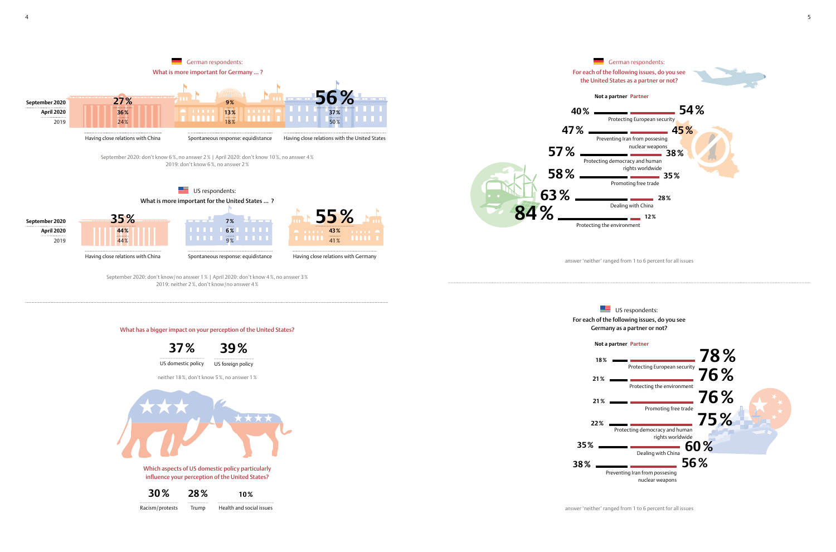answer 'neither' ranged from 1 to 6 percent for all issues

![](_page_2_Figure_0.jpeg)

Racism/protests Trump Health and social issues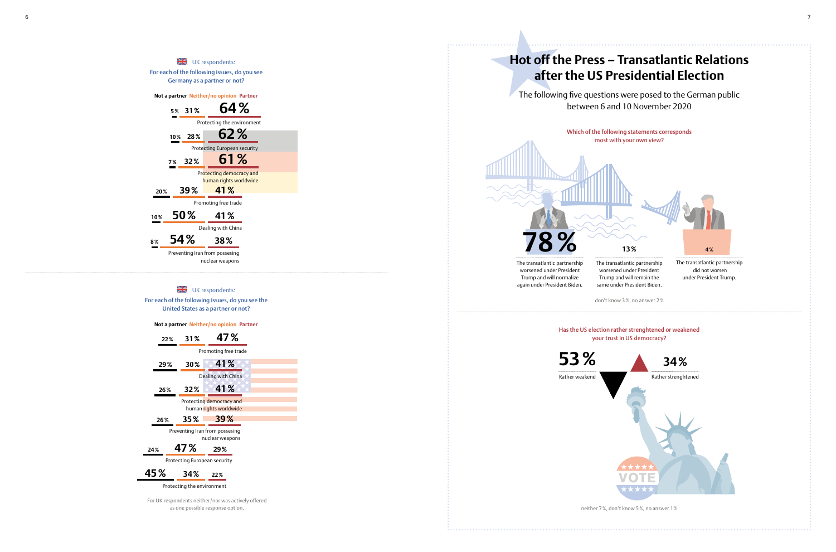Germany as a partner or not?

**Not a partner Neither /no opinion Partner**

Protecting the environment

**5 % 31**

**% 64 %**

Protecting European security

**10 % 28**

**% 62 %**

Protecting democracy and human rights worldwide

**7 % 32**

**% 61 %**

Promoting free trade

**20**

**% 39**

**% 41 %**

Dealing with China

**10**

**% 50**

**% 41 %**

Preventing Iran from possesing

 $\frac{N}{2N}$  UK respondents:

nuclear weapons

## $\frac{N}{2N}$  UK respondents: For each of the following issues, do you see the United States as a partner or not?

**8**

**% 54**

**% 38 %**

![](_page_3_Figure_3.jpeg)

![](_page_3_Figure_0.jpeg)

![](_page_3_Picture_14.jpeg)

# **after the US Presidential Election**

**Not a partner Neither /no opinion Partner**

For UK respondents neither /nor was actively offered as one possible response option.

between 6 and 10 November 2020

Which of the following statements corresponds most with your own view?

don't know 3%, no answer 2 %

 did not worsen under President Trump.

![](_page_3_Picture_9.jpeg)

worsened under President Trump and will remain the same under President Biden.

## Has the US election rather strenghtened or weakened your trust in US democracy?

neither 7%, don't know 5%, no answer 1 %

**53 %**

Rather weakend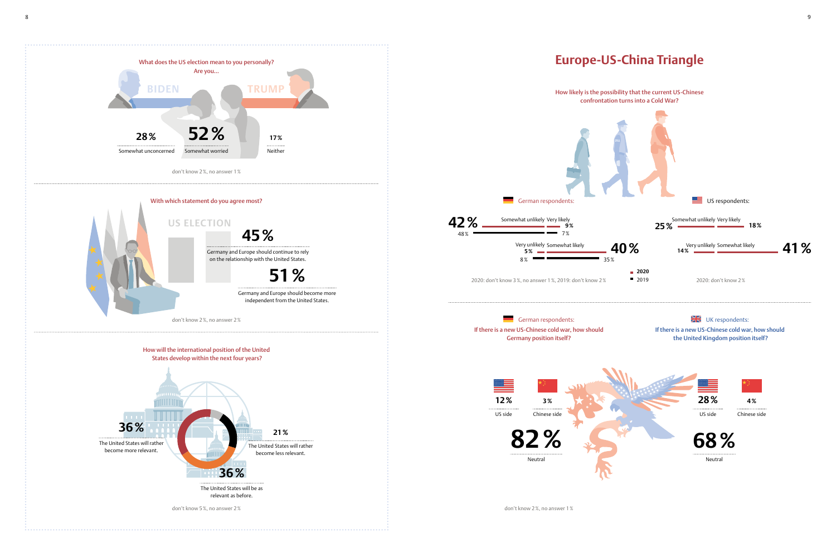![](_page_4_Figure_0.jpeg)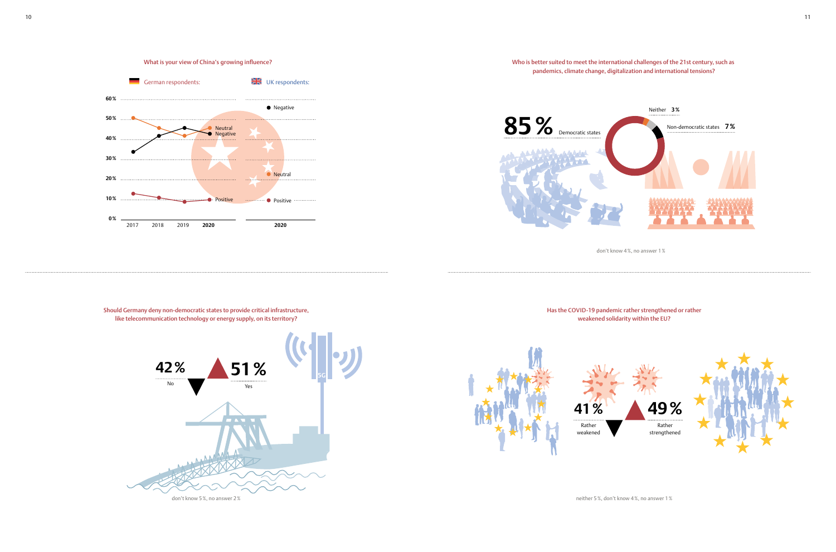![](_page_5_Figure_0.jpeg)

Has the COVID-19 pandemic rather strengthened or rather

![](_page_5_Picture_11.jpeg)

weakened solidarity within the EU?

![](_page_5_Figure_5.jpeg)

neither 5%, don't know 4%, no answer 1%

![](_page_5_Figure_3.jpeg)

Who is better suited to meet the international challenges of the 21st century, such as pandemics, climate change, digitalization and international tensions?

don't know 4%, no answer 1%

![](_page_5_Picture_1.jpeg)